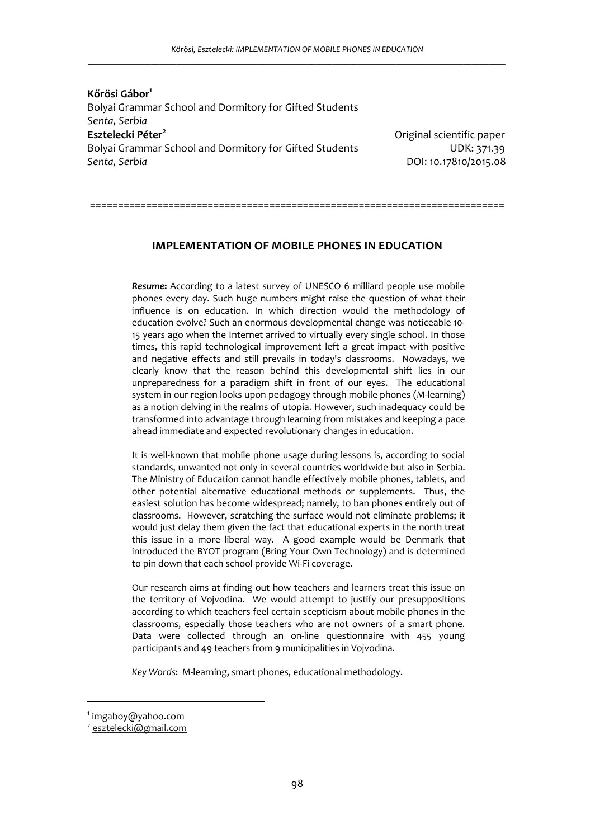**Kőrösi Gábor<sup>1</sup>** Bolyai Grammar School and Dormitory for Gifted Students *Senta, Serbia* **Esztelecki Péter<sup>2</sup>** Bolyai Grammar School and Dormitory for Gifted StudentsUDK: 371.39 *Senta, Serbia* DOI: 10.17810/2015.08

Original scientific paper

==========================================================================

# **IMPLEMENTATION OF MOBILE PHONES IN EDUCATION**

*Resume***:** According to a latest survey of UNESCO 6 milliard people use mobile phones every day. Such huge numbers might raise the question of what their influence is on education. In which direction would the methodology of education evolve? Such an enormous developmental change was noticeable 10- 15 years ago when the Internet arrived to virtually every single school. In those times, this rapid technological improvement left a great impact with positive and negative effects and still prevails in today's classrooms. Nowadays, we clearly know that the reason behind this developmental shift lies in our unpreparedness for a paradigm shift in front of our eyes. The educational system in our region looks upon pedagogy through mobile phones (M-learning) as a notion delving in the realms of utopia. However, such inadequacy could be transformed into advantage through learning from mistakes and keeping a pace ahead immediate and expected revolutionary changes in education.

It is well-known that mobile phone usage during lessons is, according to social standards, unwanted not only in several countries worldwide but also in Serbia. The Ministry of Education cannot handle effectively mobile phones, tablets, and other potential alternative educational methods or supplements. Thus, the easiest solution has become widespread; namely, to ban phones entirely out of classrooms. However, scratching the surface would not eliminate problems; it would just delay them given the fact that educational experts in the north treat this issue in a more liberal way. A good example would be Denmark that introduced the BYOT program (Bring Your Own Technology) and is determined to pin down that each school provide Wi-Fi coverage.

Our research aims at finding out how teachers and learners treat this issue on the territory of Vojvodina. We would attempt to justify our presuppositions according to which teachers feel certain scepticism about mobile phones in the classrooms, especially those teachers who are not owners of a smart phone. Data were collected through an on-line questionnaire with 455 young participants and 49 teachers from 9 municipalities in Vojvodina.

*Key Words*: M-learning, smart phones, educational methodology.

<sup>1</sup> imgaboy@yahoo.com

<sup>2</sup> esztelecki@gmail.com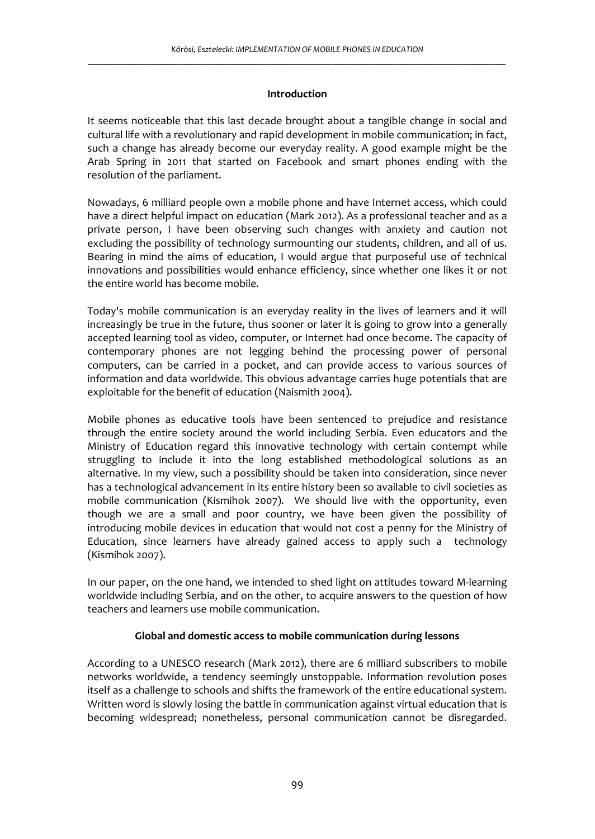## **Introduction**

It seems noticeable that this last decade brought about a tangible change in social and cultural life with a revolutionary and rapid development in mobile communication; in fact, such a change has already become our everyday reality. A good example might be the Arab Spring in 2011 that started on Facebook and smart phones ending with the resolution of the parliament.

Nowadays, 6 milliard people own a mobile phone and have Internet access, which could have a direct helpful impact on education (Mark 2012). As a professional teacher and as a private person, I have been observing such changes with anxiety and caution not excluding the possibility of technology surmounting our students, children, and all of us. Bearing in mind the aims of education, I would argue that purposeful use of technical innovations and possibilities would enhance efficiency, since whether one likes it or not the entire world has become mobile.

Today's mobile communication is an everyday reality in the lives of learners and it will increasingly be true in the future, thus sooner or later it is going to grow into a generally accepted learning tool as video, computer, or Internet had once become. The capacity of contemporary phones are not legging behind the processing power of personal computers, can be carried in a pocket, and can provide access to various sources of information and data worldwide. This obvious advantage carries huge potentials that are exploitable for the benefit of education (Naismith 2004).

Mobile phones as educative tools have been sentenced to prejudice and resistance through the entire society around the world including Serbia. Even educators and the Ministry of Education regard this innovative technology with certain contempt while struggling to include it into the long established methodological solutions as an alternative. In my view, such a possibility should be taken into consideration, since never has a technological advancement in its entire history been so available to civil societies as mobile communication (Kismihok 2007). We should live with the opportunity, even though we are a small and poor country, we have been given the possibility of introducing mobile devices in education that would not cost a penny for the Ministry of Education, since learners have already gained access to apply such a technology (Kismihok 2007).

In our paper, on the one hand, we intended to shed light on attitudes toward M-learning worldwide including Serbia, and on the other, to acquire answers to the question of how teachers and learners use mobile communication.

# **Global and domestic access to mobile communication during lessons**

According to a UNESCO research (Mark 2012), there are 6 milliard subscribers to mobile networks worldwide, a tendency seemingly unstoppable. Information revolution poses itself as a challenge to schools and shifts the framework of the entire educational system. Written word is slowly losing the battle in communication against virtual education that is becoming widespread; nonetheless, personal communication cannot be disregarded.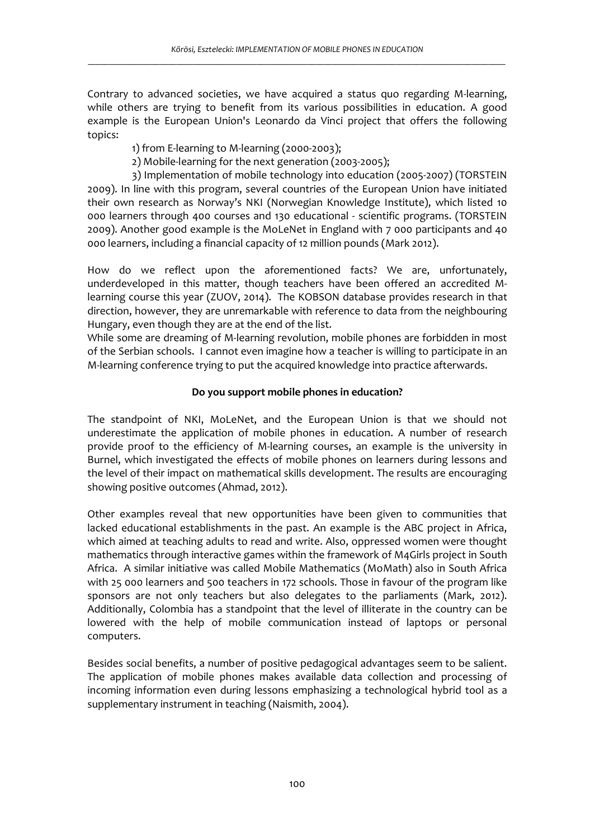Contrary to advanced societies, we have acquired a status quo regarding M-learning, while others are trying to benefit from its various possibilities in education. A good example is the European Union's Leonardo da Vinci project that offers the following topics:

- 1) from E-learning to M-learning (2000-2003);
- 2) Mobile-learning for the next generation (2003-2005);

3) Implementation of mobile technology into education (2005-2007) (TORSTEIN 2009). In line with this program, several countries of the European Union have initiated their own research as Norway's NKI (Norwegian Knowledge Institute), which listed 10 000 learners through 400 courses and 130 educational - scientific programs. (TORSTEIN 2009). Another good example is the MoLeNet in England with 7 000 participants and 40 000 learners, including a financial capacity of 12 million pounds (Mark 2012).

How do we reflect upon the aforementioned facts? We are, unfortunately, underdeveloped in this matter, though teachers have been offered an accredited Mlearning course this year (ZUOV, 2014). The KOBSON database provides research in that direction, however, they are unremarkable with reference to data from the neighbouring Hungary, even though they are at the end of the list.

While some are dreaming of M-learning revolution, mobile phones are forbidden in most of the Serbian schools. I cannot even imagine how a teacher is willing to participate in an M-learning conference trying to put the acquired knowledge into practice afterwards.

# **Do you support mobile phones in education?**

The standpoint of NKI, MoLeNet, and the European Union is that we should not underestimate the application of mobile phones in education. A number of research provide proof to the efficiency of M-learning courses, an example is the university in Burnel, which investigated the effects of mobile phones on learners during lessons and the level of their impact on mathematical skills development. The results are encouraging showing positive outcomes (Ahmad, 2012).

Other examples reveal that new opportunities have been given to communities that lacked educational establishments in the past. An example is the ABC project in Africa, which aimed at teaching adults to read and write. Also, oppressed women were thought mathematics through interactive games within the framework of M4Girls project in South Africa. A similar initiative was called Mobile Mathematics (MoMath) also in South Africa with 25 000 learners and 500 teachers in 172 schools. Those in favour of the program like sponsors are not only teachers but also delegates to the parliaments (Mark, 2012). Additionally, Colombia has a standpoint that the level of illiterate in the country can be lowered with the help of mobile communication instead of laptops or personal computers.

Besides social benefits, a number of positive pedagogical advantages seem to be salient. The application of mobile phones makes available data collection and processing of incoming information even during lessons emphasizing a technological hybrid tool as a supplementary instrument in teaching (Naismith, 2004).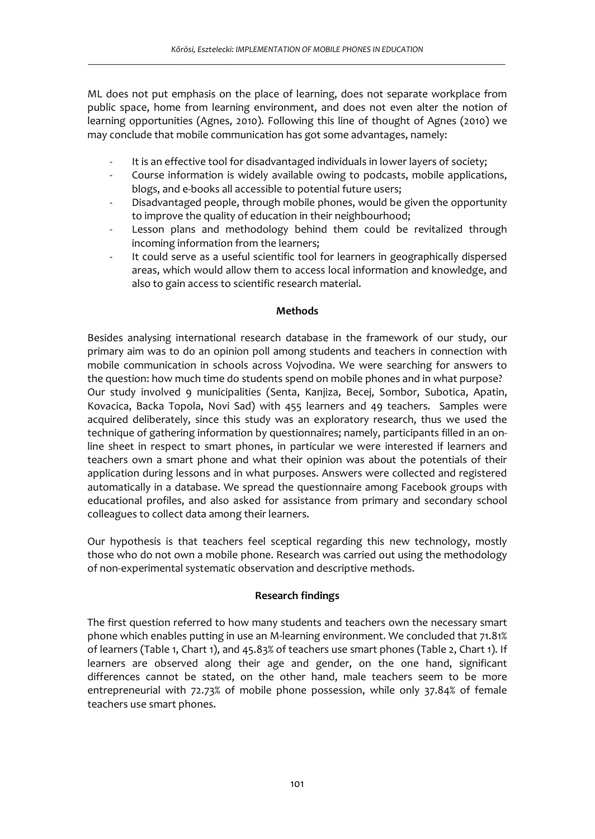ML does not put emphasis on the place of learning, does not separate workplace from public space, home from learning environment, and does not even alter the notion of learning opportunities (Agnes, 2010). Following this line of thought of Agnes (2010) we may conclude that mobile communication has got some advantages, namely:

- It is an effective tool for disadvantaged individuals in lower layers of society;
- Course information is widely available owing to podcasts, mobile applications, blogs, and e-books all accessible to potential future users;
- Disadvantaged people, through mobile phones, would be given the opportunity to improve the quality of education in their neighbourhood;
- Lesson plans and methodology behind them could be revitalized through incoming information from the learners;
- It could serve as a useful scientific tool for learners in geographically dispersed areas, which would allow them to access local information and knowledge, and also to gain access to scientific research material.

## **Methods**

Besides analysing international research database in the framework of our study, our primary aim was to do an opinion poll among students and teachers in connection with mobile communication in schools across Vojvodina. We were searching for answers to the question: how much time do students spend on mobile phones and in what purpose? Our study involved 9 municipalities (Senta, Kanjiza, Becej, Sombor, Subotica, Apatin, Kovacica, Backa Topola, Novi Sad) with 455 learners and 49 teachers. Samples were acquired deliberately, since this study was an exploratory research, thus we used the technique of gathering information by questionnaires; namely, participants filled in an online sheet in respect to smart phones, in particular we were interested if learners and teachers own a smart phone and what their opinion was about the potentials of their application during lessons and in what purposes. Answers were collected and registered automatically in a database. We spread the questionnaire among Facebook groups with educational profiles, and also asked for assistance from primary and secondary school colleagues to collect data among their learners.

Our hypothesis is that teachers feel sceptical regarding this new technology, mostly those who do not own a mobile phone. Research was carried out using the methodology of non-experimental systematic observation and descriptive methods.

## **Research findings**

The first question referred to how many students and teachers own the necessary smart phone which enables putting in use an M-learning environment. We concluded that 71.81% of learners (Table 1, Chart 1), and 45.83% of teachers use smart phones (Table 2, Chart 1). If learners are observed along their age and gender, on the one hand, significant differences cannot be stated, on the other hand, male teachers seem to be more entrepreneurial with 72.73% of mobile phone possession, while only 37.84% of female teachers use smart phones.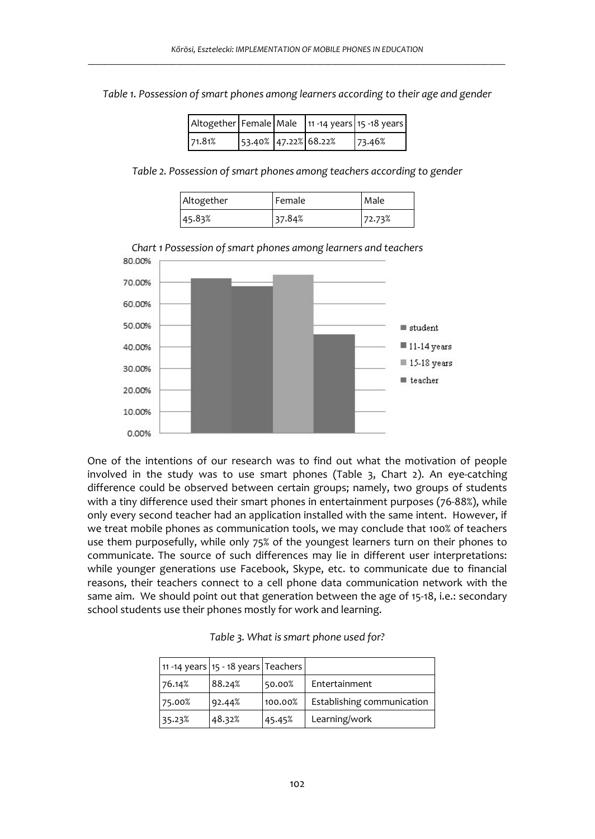*Table 1. Possession of smart phones among learners according to their age and gender* 

| Altogether Female Male 11 -14 years 15 -18 years |                      |  |        |
|--------------------------------------------------|----------------------|--|--------|
| 71.81%                                           | 53.40% 47.22% 68.22% |  | 73.46% |

*Table 2. Possession of smart phones among teachers according to gender* 

| Altogether | Female | Male   |
|------------|--------|--------|
| 45.83%     | 37.84% | 72.73% |



*Chart 1 Possession of smart phones among learners and teachers*

One of the intentions of our research was to find out what the motivation of people involved in the study was to use smart phones (Table 3, Chart 2). An eye-catching difference could be observed between certain groups; namely, two groups of students with a tiny difference used their smart phones in entertainment purposes (76-88%), while only every second teacher had an application installed with the same intent. However, if we treat mobile phones as communication tools, we may conclude that 100% of teachers use them purposefully, while only 75% of the youngest learners turn on their phones to communicate. The source of such differences may lie in different user interpretations: while younger generations use Facebook, Skype, etc. to communicate due to financial reasons, their teachers connect to a cell phone data communication network with the same aim. We should point out that generation between the age of 15-18, i.e.: secondary school students use their phones mostly for work and learning.

|        | 11 -14 years 15 - 18 years Teachers |         |                            |
|--------|-------------------------------------|---------|----------------------------|
| 76.14% | 88.24%                              | 50.00%  | Entertainment              |
| 75.00% | 92.44%                              | 100.00% | Establishing communication |
| 35.23% | 48.32%                              | 45.45%  | Learning/work              |

*Table 3. What is smart phone used for?*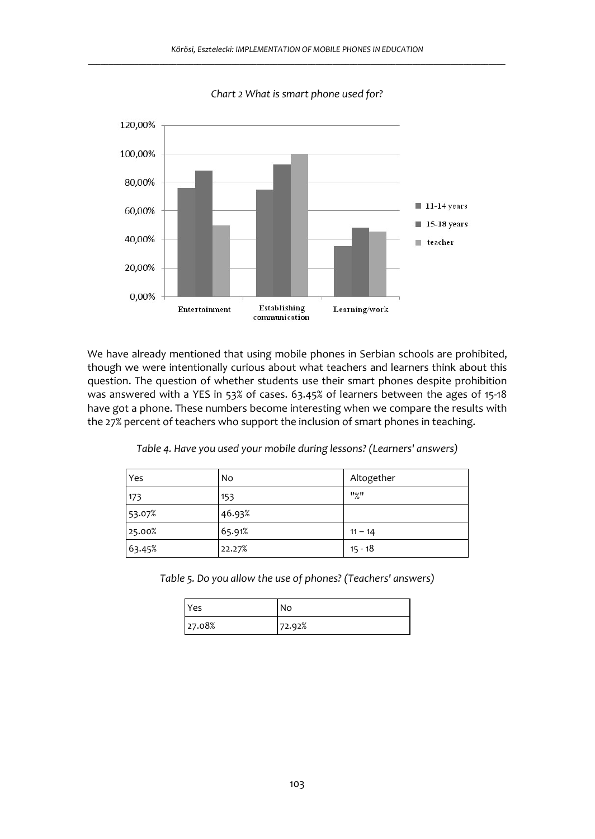

*Chart 2 What is smart phone used for?* 

We have already mentioned that using mobile phones in Serbian schools are prohibited, though we were intentionally curious about what teachers and learners think about this question. The question of whether students use their smart phones despite prohibition was answered with a YES in 53% of cases. 63.45% of learners between the ages of 15-18 have got a phone. These numbers become interesting when we compare the results with the 27% percent of teachers who support the inclusion of smart phones in teaching.

| Yes    | No     | Altogether |
|--------|--------|------------|
| 173    | 153    | "%"        |
| 53.07% | 46.93% |            |
| 25.00% | 65.91% | $11 - 14$  |
| 63.45% | 22.27% | $15 - 18$  |

*Table 4. Have you used your mobile during lessons? (Learners' answers)* 

*Table 5. Do you allow the use of phones? (Teachers' answers)* 

| Yes    | No     |
|--------|--------|
| 27.08% | 72.92% |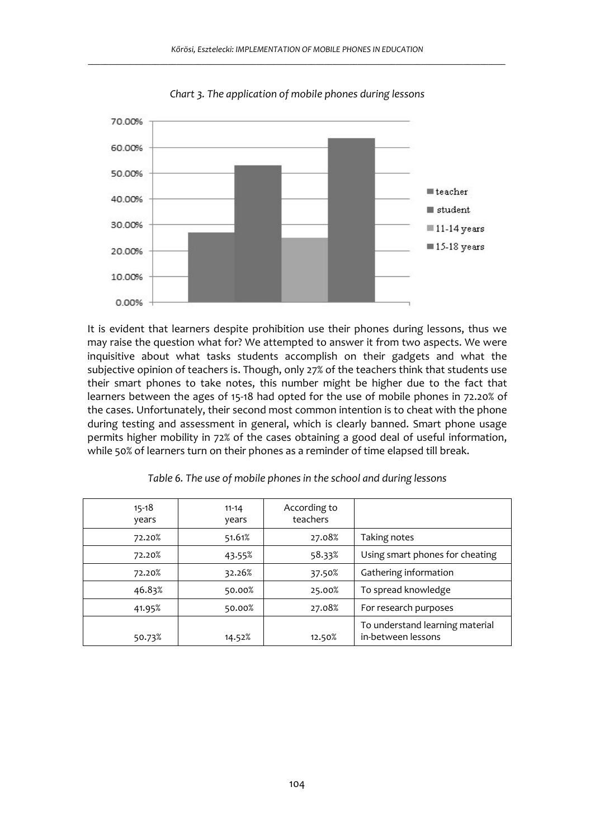

*Chart 3. The application of mobile phones during lessons* 

It is evident that learners despite prohibition use their phones during lessons, thus we may raise the question what for? We attempted to answer it from two aspects. We were inquisitive about what tasks students accomplish on their gadgets and what the subjective opinion of teachers is. Though, only 27% of the teachers think that students use their smart phones to take notes, this number might be higher due to the fact that learners between the ages of 15-18 had opted for the use of mobile phones in 72.20% of the cases. Unfortunately, their second most common intention is to cheat with the phone during testing and assessment in general, which is clearly banned. Smart phone usage permits higher mobility in 72% of the cases obtaining a good deal of useful information, while 50% of learners turn on their phones as a reminder of time elapsed till break.

| $15 - 18$<br>years | $11 - 14$<br>vears | According to<br>teachers |                                                       |
|--------------------|--------------------|--------------------------|-------------------------------------------------------|
| 72.20%             | 51.61%             | 27.08%                   | Taking notes                                          |
| 72.20%             | 43.55%             | 58.33%                   | Using smart phones for cheating                       |
| 72.20%             | 32.26%             | 37.50%                   | Gathering information                                 |
| 46.83%             | 50.00%             | 25.00%                   | To spread knowledge                                   |
| 41.95%             | 50.00%             | 27.08%                   | For research purposes                                 |
| 50.73%             | 14.52%             | 12.50%                   | To understand learning material<br>in-between lessons |

*Table 6. The use of mobile phones in the school and during lessons*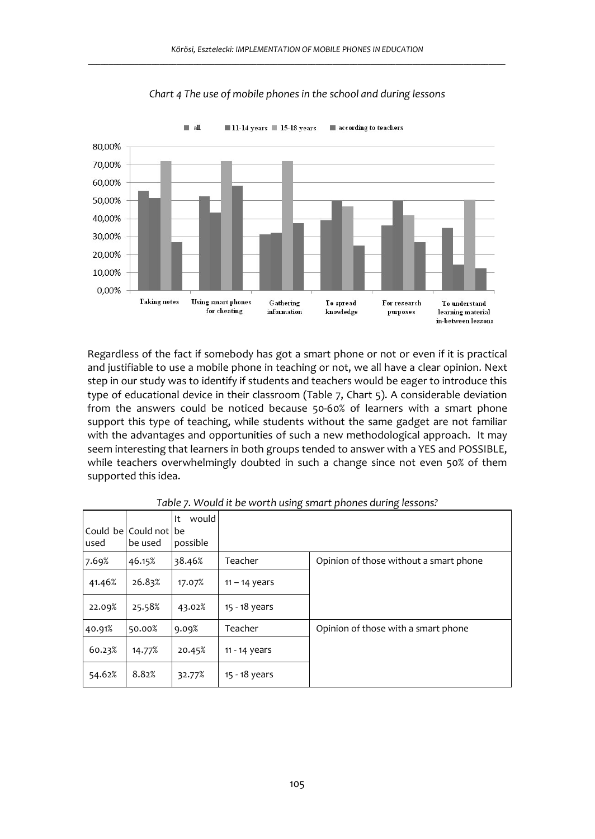

*Chart 4 The use of mobile phones in the school and during lessons* 

Regardless of the fact if somebody has got a smart phone or not or even if it is practical and justifiable to use a mobile phone in teaching or not, we all have a clear opinion. Next step in our study was to identify if students and teachers would be eager to introduce this type of educational device in their classroom (Table 7, Chart 5). A considerable deviation from the answers could be noticed because 50-60% of learners with a smart phone support this type of teaching, while students without the same gadget are not familiar with the advantages and opportunities of such a new methodological approach. It may seem interesting that learners in both groups tended to answer with a YES and POSSIBLE, while teachers overwhelmingly doubted in such a change since not even 50% of them supported this idea.

| lused  | l Could be l Could not l be<br>be used | would<br>It<br>possible |                 |                                        |
|--------|----------------------------------------|-------------------------|-----------------|----------------------------------------|
| 7.69%  | 46.15%                                 | 38.46%                  | Teacher         | Opinion of those without a smart phone |
| 41.46% | 26.83%                                 | 17.07%                  | $11 - 14$ years |                                        |
| 22.09% | 25.58%                                 | 43.02%                  | 15 - 18 years   |                                        |
| 40.91% | 50.00%                                 | 9.09%                   | Teacher         | Opinion of those with a smart phone    |
| 60.23% | 14.77%                                 | 20.45%                  | 11 - 14 years   |                                        |
| 54.62% | 8.82%                                  | 32.77%                  | 15 - 18 years   |                                        |

*Table 7. Would it be worth using smart phones during lessons?*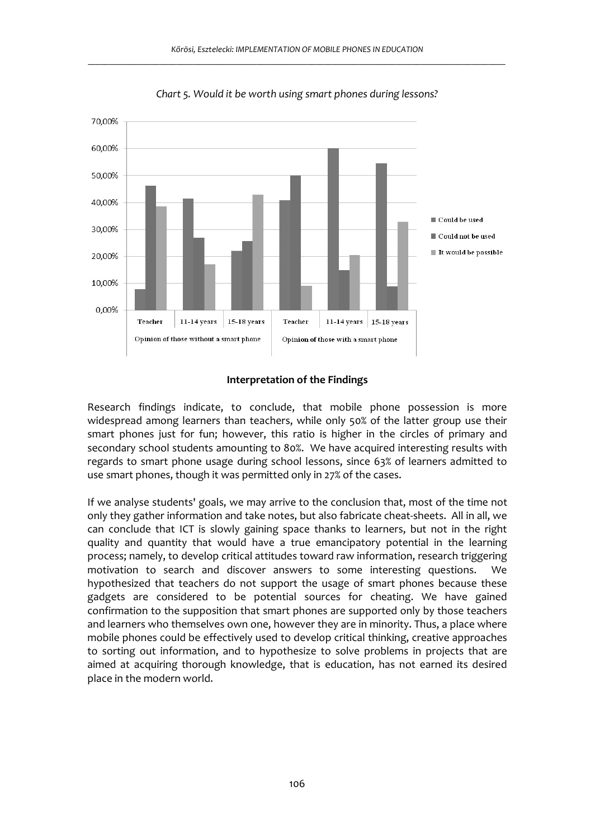

*Chart 5. Would it be worth using smart phones during lessons?* 

#### **Interpretation of the Findings**

Research findings indicate, to conclude, that mobile phone possession is more widespread among learners than teachers, while only 50% of the latter group use their smart phones just for fun; however, this ratio is higher in the circles of primary and secondary school students amounting to 80%. We have acquired interesting results with regards to smart phone usage during school lessons, since 63% of learners admitted to use smart phones, though it was permitted only in 27% of the cases.

If we analyse students' goals, we may arrive to the conclusion that, most of the time not only they gather information and take notes, but also fabricate cheat-sheets. All in all, we can conclude that ICT is slowly gaining space thanks to learners, but not in the right quality and quantity that would have a true emancipatory potential in the learning process; namely, to develop critical attitudes toward raw information, research triggering motivation to search and discover answers to some interesting questions. We hypothesized that teachers do not support the usage of smart phones because these gadgets are considered to be potential sources for cheating. We have gained confirmation to the supposition that smart phones are supported only by those teachers and learners who themselves own one, however they are in minority. Thus, a place where mobile phones could be effectively used to develop critical thinking, creative approaches to sorting out information, and to hypothesize to solve problems in projects that are aimed at acquiring thorough knowledge, that is education, has not earned its desired place in the modern world.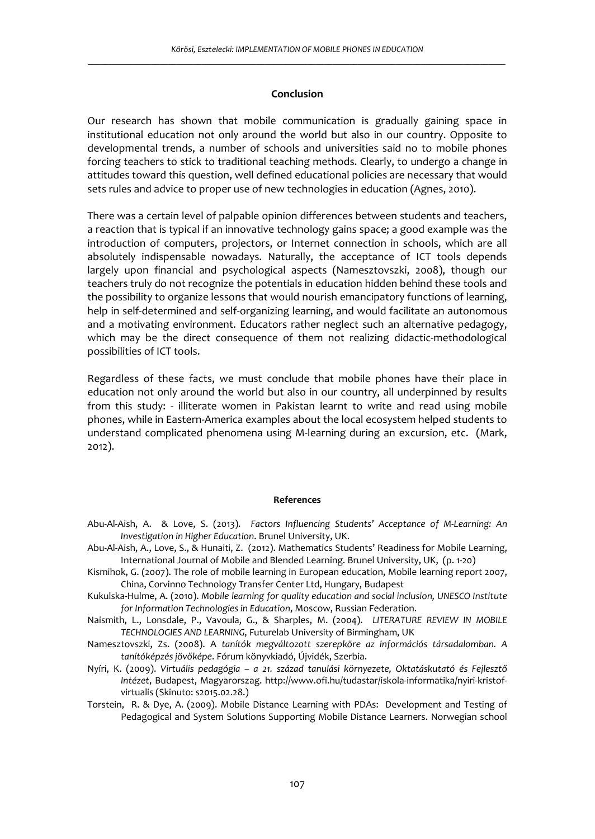## **Conclusion**

Our research has shown that mobile communication is gradually gaining space in institutional education not only around the world but also in our country. Opposite to developmental trends, a number of schools and universities said no to mobile phones forcing teachers to stick to traditional teaching methods. Clearly, to undergo a change in attitudes toward this question, well defined educational policies are necessary that would sets rules and advice to proper use of new technologies in education (Agnes, 2010).

There was a certain level of palpable opinion differences between students and teachers, a reaction that is typical if an innovative technology gains space; a good example was the introduction of computers, projectors, or Internet connection in schools, which are all absolutely indispensable nowadays. Naturally, the acceptance of ICT tools depends largely upon financial and psychological aspects (Namesztovszki, 2008), though our teachers truly do not recognize the potentials in education hidden behind these tools and the possibility to organize lessons that would nourish emancipatory functions of learning, help in self-determined and self-organizing learning, and would facilitate an autonomous and a motivating environment. Educators rather neglect such an alternative pedagogy, which may be the direct consequence of them not realizing didactic-methodological possibilities of ICT tools.

Regardless of these facts, we must conclude that mobile phones have their place in education not only around the world but also in our country, all underpinned by results from this study: - illiterate women in Pakistan learnt to write and read using mobile phones, while in Eastern-America examples about the local ecosystem helped students to understand complicated phenomena using M-learning during an excursion, etc. (Mark, 2012).

#### **References**

- Abu-Al-Aish, A. & Love, S. (2013). *Factors Influencing Students' Acceptance of M-Learning: An Investigation in Higher Education*. Brunel University, UK.
- Abu-Al-Aish, A., Love, S., & Hunaiti, Z. (2012). Mathematics Students' Readiness for Mobile Learning, International Journal of Mobile and Blended Learning. Brunel University, UK, (p. 1-20)
- Kismihok, G. (2007). The role of mobile learning in European education, Mobile learning report 2007, China, Corvinno Technology Transfer Center Ltd, Hungary, Budapest
- Kukulska-Hulme, A. (2010). *Mobile learning for quality education and social inclusion, UNESCO Institute for Information Technologies in Education*, Moscow, Russian Federation.
- Naismith, L., Lonsdale, P., Vavoula, G., & Sharples, M. (2004). *LITERATURE REVIEW IN MOBILE TECHNOLOGIES AND LEARNING*, Futurelab University of Birmingham, UK
- Namesztovszki, Zs. (2008). A *tanítók megváltozott szerepköre az információs társadalomban. A tanítóképzés jövőképe*. Fórum könyvkiadó, Újvidék, Szerbia.
- Nyíri, K. (2009). *Virtuális pedagógia a 21. század tanulási környezete, Oktatáskutató és Fejlesztő Intézet*, Budapest, Magyarorszag. http://www.ofi.hu/tudastar/iskola-informatika/nyiri-kristofvirtualis (Skinuto: s2015.02.28.)
- Torstein, R. & Dye, A. (2009). Mobile Distance Learning with PDAs: Development and Testing of Pedagogical and System Solutions Supporting Mobile Distance Learners. Norwegian school